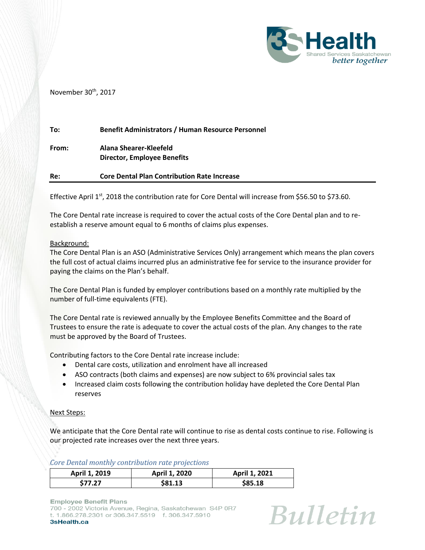

November 30<sup>th</sup>, 2017

| To:   | <b>Benefit Administrators / Human Resource Personnel</b>     |
|-------|--------------------------------------------------------------|
| From: | Alana Shearer-Kleefeld<br><b>Director, Employee Benefits</b> |
| Re:   | <b>Core Dental Plan Contribution Rate Increase</b>           |

Effective April 1st, 2018 the contribution rate for Core Dental will increase from \$56.50 to \$73.60.

The Core Dental rate increase is required to cover the actual costs of the Core Dental plan and to reestablish a reserve amount equal to 6 months of claims plus expenses.

## Background:

The Core Dental Plan is an ASO (Administrative Services Only) arrangement which means the plan covers the full cost of actual claims incurred plus an administrative fee for service to the insurance provider for paying the claims on the Plan's behalf.

The Core Dental Plan is funded by employer contributions based on a monthly rate multiplied by the number of full-time equivalents (FTE).

The Core Dental rate is reviewed annually by the Employee Benefits Committee and the Board of Trustees to ensure the rate is adequate to cover the actual costs of the plan. Any changes to the rate must be approved by the Board of Trustees.

Contributing factors to the Core Dental rate increase include:

- Dental care costs, utilization and enrolment have all increased
- ASO contracts (both claims and expenses) are now subject to 6% provincial sales tax
- Increased claim costs following the contribution holiday have depleted the Core Dental Plan reserves

## Next Steps:

We anticipate that the Core Dental rate will continue to rise as dental costs continue to rise. Following is our projected rate increases over the next three years.

*Core Dental monthly contribution rate projections*

| April 1, 2019 | April 1, 2020 | April 1, 2021 |
|---------------|---------------|---------------|
| \$77.27       | \$81.13       | \$85.18       |